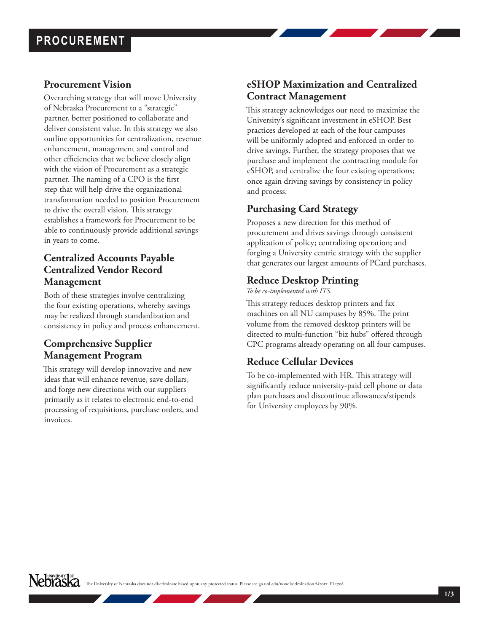# **PROCUREMENT**

#### **Procurement Vision**

Overarching strategy that will move University of Nebraska Procurement to a "strategic" partner, better positioned to collaborate and deliver consistent value. In this strategy we also outline opportunities for centralization, revenue enhancement, management and control and other efficiencies that we believe closely align with the vision of Procurement as a strategic partner. The naming of a CPO is the first step that will help drive the organizational transformation needed to position Procurement to drive the overall vision. This strategy establishes a framework for Procurement to be able to continuously provide additional savings in years to come.

# **Centralized Accounts Payable Centralized Vendor Record Management**

Both of these strategies involve centralizing the four existing operations, whereby savings may be realized through standardization and consistency in policy and process enhancement.

# **Comprehensive Supplier Management Program**

This strategy will develop innovative and new ideas that will enhance revenue, save dollars, and forge new directions with our suppliers primarily as it relates to electronic end-to-end processing of requisitions, purchase orders, and invoices.

# **eSHOP Maximization and Centralized Contract Management**

This strategy acknowledges our need to maximize the University's significant investment in eSHOP. Best practices developed at each of the four campuses will be uniformly adopted and enforced in order to drive savings. Further, the strategy proposes that we purchase and implement the contracting module for eSHOP, and centralize the four existing operations; once again driving savings by consistency in policy and process.

### **Purchasing Card Strategy**

Proposes a new direction for this method of procurement and drives savings through consistent application of policy; centralizing operation; and forging a University centric strategy with the supplier that generates our largest amounts of PCard purchases.

### **Reduce Desktop Printing**

*To be co-implemented with ITS.* 

This strategy reduces desktop printers and fax machines on all NU campuses by 85%. The print volume from the removed desktop printers will be directed to multi-function "biz hubs" offered through CPC programs already operating on all four campuses.

# **Reduce Cellular Devices**

To be co-implemented with HR. This strategy will significantly reduce university-paid cell phone or data plan purchases and discontinue allowances/stipends for University employees by 90%.

NeDYASKA The University of Nebraska does not discriminate based upon any protected status. Please see go.unl.edu/nondiscrimination.©2017. PL1708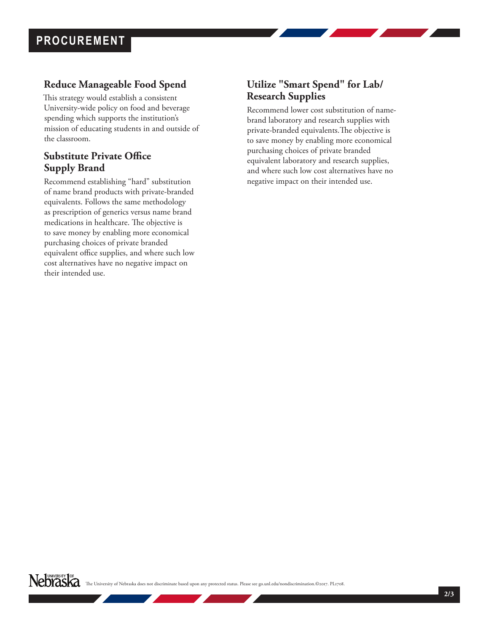# **Reduce Manageable Food Spend**

This strategy would establish a consistent University-wide policy on food and beverage spending which supports the institution's mission of educating students in and outside of the classroom.

# **Substitute Private Office Supply Brand**

Recommend establishing "hard" substitution of name brand products with private-branded equivalents. Follows the same methodology as prescription of generics versus name brand medications in healthcare. The objective is to save money by enabling more economical purchasing choices of private branded equivalent office supplies, and where such low cost alternatives have no negative impact on their intended use.

# **Utilize "Smart Spend" for Lab/ Research Supplies**

Recommend lower cost substitution of namebrand laboratory and research supplies with private-branded equivalents.The objective is to save money by enabling more economical purchasing choices of private branded equivalent laboratory and research supplies, and where such low cost alternatives have no negative impact on their intended use.